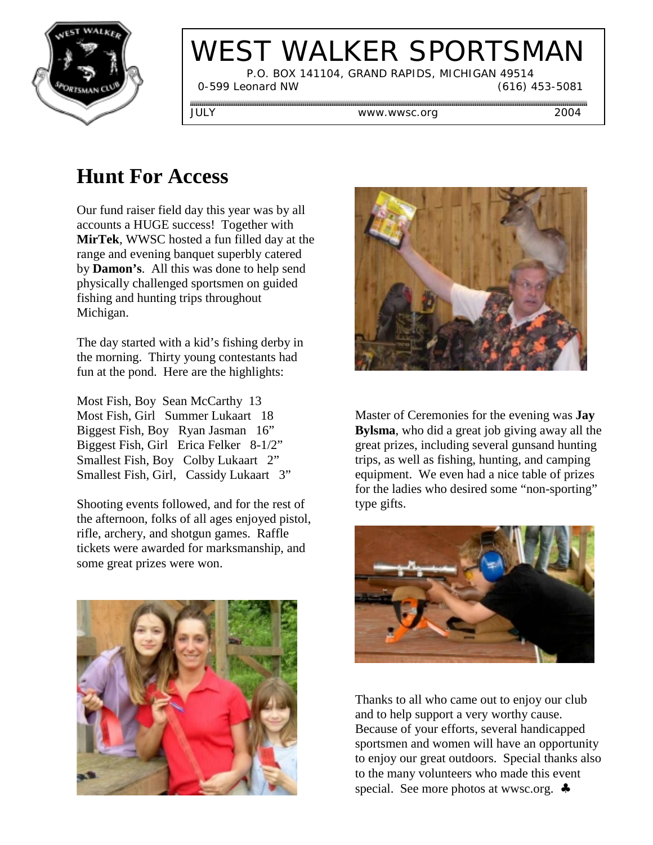

# WEST WALKER SPORTSMAN

 P.O. BOX 141104, GRAND RAPIDS, MICHIGAN 49514 0-599 Leonard NW (616) 453-5081

JULY www.wwsc.org 2004

# **Hunt For Access**

Our fund raiser field day this year was by all accounts a HUGE success! Together with **MirTek**, WWSC hosted a fun filled day at the range and evening banquet superbly catered by **Damon's**. All this was done to help send physically challenged sportsmen on guided fishing and hunting trips throughout Michigan.

The day started with a kid's fishing derby in the morning. Thirty young contestants had fun at the pond. Here are the highlights:

Most Fish, Boy Sean McCarthy 13 Most Fish, Girl Summer Lukaart 18 Biggest Fish, Boy Ryan Jasman 16" Biggest Fish, Girl Erica Felker 8-1/2" Smallest Fish, Boy Colby Lukaart 2" Smallest Fish, Girl, Cassidy Lukaart 3"

Shooting events followed, and for the rest of the afternoon, folks of all ages enjoyed pistol, rifle, archery, and shotgun games. Raffle tickets were awarded for marksmanship, and some great prizes were won.





Master of Ceremonies for the evening was **Jay Bylsma**, who did a great job giving away all the great prizes, including several gunsand hunting trips, as well as fishing, hunting, and camping equipment. We even had a nice table of prizes for the ladies who desired some "non-sporting" type gifts.



Thanks to all who came out to enjoy our club and to help support a very worthy cause. Because of your efforts, several handicapped sportsmen and women will have an opportunity to enjoy our great outdoors. Special thanks also to the many volunteers who made this event special. See more photos at wwsc.org. ♣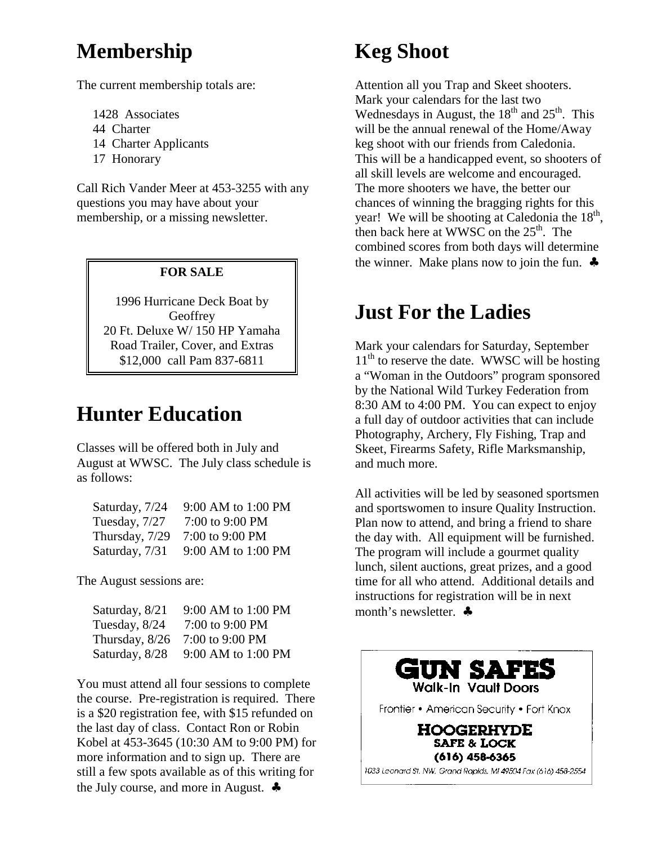### **Membership**

The current membership totals are:

- 1428 Associates
- 44 Charter
- 14 Charter Applicants
- 17 Honorary

Call Rich Vander Meer at 453-3255 with any questions you may have about your membership, or a missing newsletter.

#### **FOR SALE**

1996 Hurricane Deck Boat by **Geoffrey** 20 Ft. Deluxe W/ 150 HP Yamaha Road Trailer, Cover, and Extras \$12,000 call Pam 837-6811

### **Hunter Education**

Classes will be offered both in July and August at WWSC. The July class schedule is as follows:

| Saturday, 7/24 | 9:00 AM to 1:00 PM |
|----------------|--------------------|
| Tuesday, 7/27  | 7:00 to 9:00 PM    |
| Thursday, 7/29 | 7:00 to 9:00 PM    |
| Saturday, 7/31 | 9:00 AM to 1:00 PM |

The August sessions are:

| Saturday, 8/21 | 9:00 AM to 1:00 PM |
|----------------|--------------------|
| Tuesday, 8/24  | 7:00 to 9:00 PM    |
| Thursday, 8/26 | 7:00 to 9:00 PM    |
| Saturday, 8/28 | 9:00 AM to 1:00 PM |

You must attend all four sessions to complete the course. Pre-registration is required. There is a \$20 registration fee, with \$15 refunded on the last day of class. Contact Ron or Robin Kobel at 453-3645 (10:30 AM to 9:00 PM) for more information and to sign up. There are still a few spots available as of this writing for the July course, and more in August. ♣

# **Keg Shoot**

Attention all you Trap and Skeet shooters. Mark your calendars for the last two Wednesdays in August, the  $18<sup>th</sup>$  and  $25<sup>th</sup>$ . This will be the annual renewal of the Home/Away keg shoot with our friends from Caledonia. This will be a handicapped event, so shooters of all skill levels are welcome and encouraged. The more shooters we have, the better our chances of winning the bragging rights for this year! We will be shooting at Caledonia the  $18<sup>th</sup>$ , then back here at WWSC on the  $25<sup>th</sup>$ . The combined scores from both days will determine the winner. Make plans now to join the fun.  $\clubsuit$ 

# **Just For the Ladies**

Mark your calendars for Saturday, September  $11<sup>th</sup>$  to reserve the date. WWSC will be hosting a "Woman in the Outdoors" program sponsored by the National Wild Turkey Federation from 8:30 AM to 4:00 PM. You can expect to enjoy a full day of outdoor activities that can include Photography, Archery, Fly Fishing, Trap and Skeet, Firearms Safety, Rifle Marksmanship, and much more.

All activities will be led by seasoned sportsmen and sportswomen to insure Quality Instruction. Plan now to attend, and bring a friend to share the day with. All equipment will be furnished. The program will include a gourmet quality lunch, silent auctions, great prizes, and a good time for all who attend. Additional details and instructions for registration will be in next month's newsletter. ♣

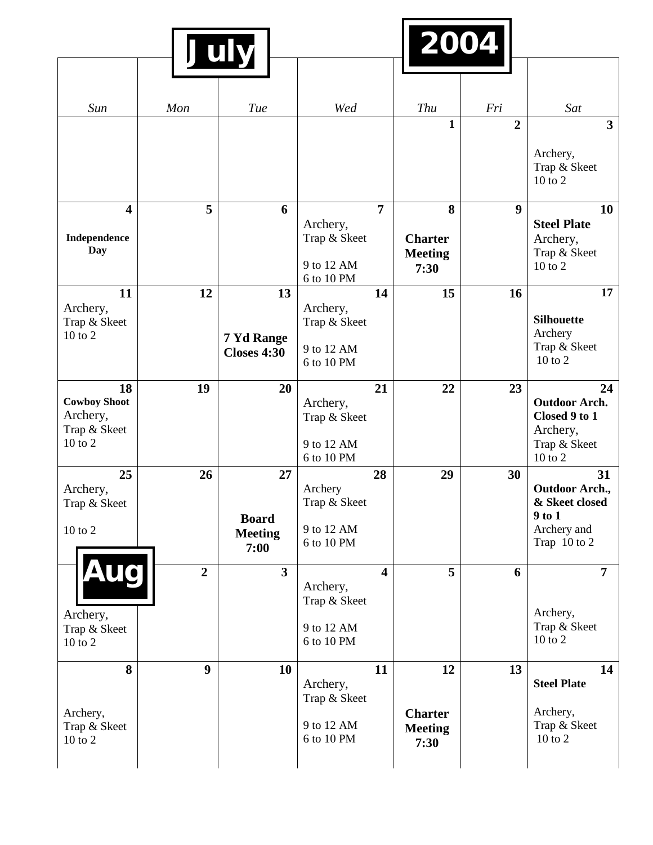| July                     |                  |                        |                          |                         |                | 2004             |                                         |  |  |
|--------------------------|------------------|------------------------|--------------------------|-------------------------|----------------|------------------|-----------------------------------------|--|--|
|                          |                  |                        |                          |                         |                |                  |                                         |  |  |
| Sun                      | Mon              | Tue                    | Wed                      |                         | Thu            | Fri              | Sat                                     |  |  |
|                          |                  |                        |                          |                         | $\mathbf{1}$   | $\overline{2}$   | $\overline{\mathbf{3}}$                 |  |  |
|                          |                  |                        |                          |                         |                |                  | Archery,<br>Trap & Skeet<br>$10$ to $2$ |  |  |
| $\overline{\mathbf{4}}$  | 5                | 6                      |                          | $\overline{7}$          | 8              | $\boldsymbol{9}$ | 10                                      |  |  |
|                          |                  |                        | Archery,                 |                         |                |                  | <b>Steel Plate</b>                      |  |  |
| Independence             |                  |                        | Trap & Skeet             |                         | <b>Charter</b> |                  | Archery,                                |  |  |
| <b>Day</b>               |                  |                        |                          |                         | <b>Meeting</b> |                  | Trap & Skeet                            |  |  |
|                          |                  |                        | 9 to 12 AM<br>6 to 10 PM |                         | 7:30           |                  | 10 to 2                                 |  |  |
| 11                       | 12               | 13                     |                          | 14                      | 15             | 16               | 17                                      |  |  |
| Archery,                 |                  |                        | Archery,                 |                         |                |                  |                                         |  |  |
| Trap & Skeet             |                  |                        | Trap & Skeet             |                         |                |                  | <b>Silhouette</b>                       |  |  |
| $10$ to $2$              |                  | 7 Yd Range             |                          |                         |                |                  | Archery<br>Trap & Skeet                 |  |  |
|                          |                  | <b>Closes 4:30</b>     | 9 to 12 AM<br>6 to 10 PM |                         |                |                  | 10 to 2                                 |  |  |
|                          |                  |                        |                          |                         |                |                  |                                         |  |  |
| 18                       | 19               | 20                     |                          | 21                      | 22             | 23               | 24                                      |  |  |
| <b>Cowboy Shoot</b>      |                  |                        | Archery,                 |                         |                |                  | <b>Outdoor Arch.</b>                    |  |  |
| Archery,<br>Trap & Skeet |                  |                        | Trap & Skeet             |                         |                |                  | Closed 9 to 1<br>Archery,               |  |  |
| 10 to 2                  |                  |                        | 9 to 12 AM               |                         |                |                  | Trap & Skeet                            |  |  |
|                          |                  |                        | 6 to 10 PM               |                         |                |                  | $10$ to $2$                             |  |  |
| 25                       | 26               | 27                     |                          | 28                      | 29             | 30               | 31                                      |  |  |
| Archery,                 |                  |                        | Archery                  |                         |                |                  | <b>Outdoor Arch.,</b>                   |  |  |
| Trap & Skeet             |                  |                        | Trap & Skeet             |                         |                |                  | & Skeet closed                          |  |  |
| 10 to 2                  |                  | <b>Board</b>           | 9 to 12 AM               |                         |                |                  | $9$ to $1$<br>Archery and               |  |  |
|                          |                  | <b>Meeting</b><br>7:00 | 6 to 10 PM               |                         |                |                  | Trap 10 to 2                            |  |  |
|                          |                  |                        |                          |                         |                |                  |                                         |  |  |
| <b>Aug</b>               | $\overline{2}$   | $\overline{3}$         |                          | $\overline{\mathbf{4}}$ | 5              | 6                | $\overline{7}$                          |  |  |
|                          |                  |                        | Archery,                 |                         |                |                  |                                         |  |  |
| Archery,                 |                  |                        | Trap & Skeet             |                         |                |                  | Archery,                                |  |  |
| Trap & Skeet             |                  |                        | 9 to 12 AM               |                         |                |                  | Trap & Skeet                            |  |  |
| 10 to 2                  |                  |                        | 6 to 10 PM               |                         |                |                  | 10 to 2                                 |  |  |
|                          |                  |                        |                          |                         |                |                  |                                         |  |  |
| 8                        | $\boldsymbol{9}$ | 10                     |                          | 11                      | 12             | 13               | 14<br><b>Steel Plate</b>                |  |  |
|                          |                  |                        | Archery,<br>Trap & Skeet |                         |                |                  |                                         |  |  |
| Archery,                 |                  |                        |                          |                         | <b>Charter</b> |                  | Archery,                                |  |  |
| Trap & Skeet             |                  |                        | 9 to 12 AM               |                         | <b>Meeting</b> |                  | Trap & Skeet                            |  |  |
| $10$ to $2$              |                  |                        | 6 to 10 PM               |                         | 7:30           |                  | 10 to 2                                 |  |  |